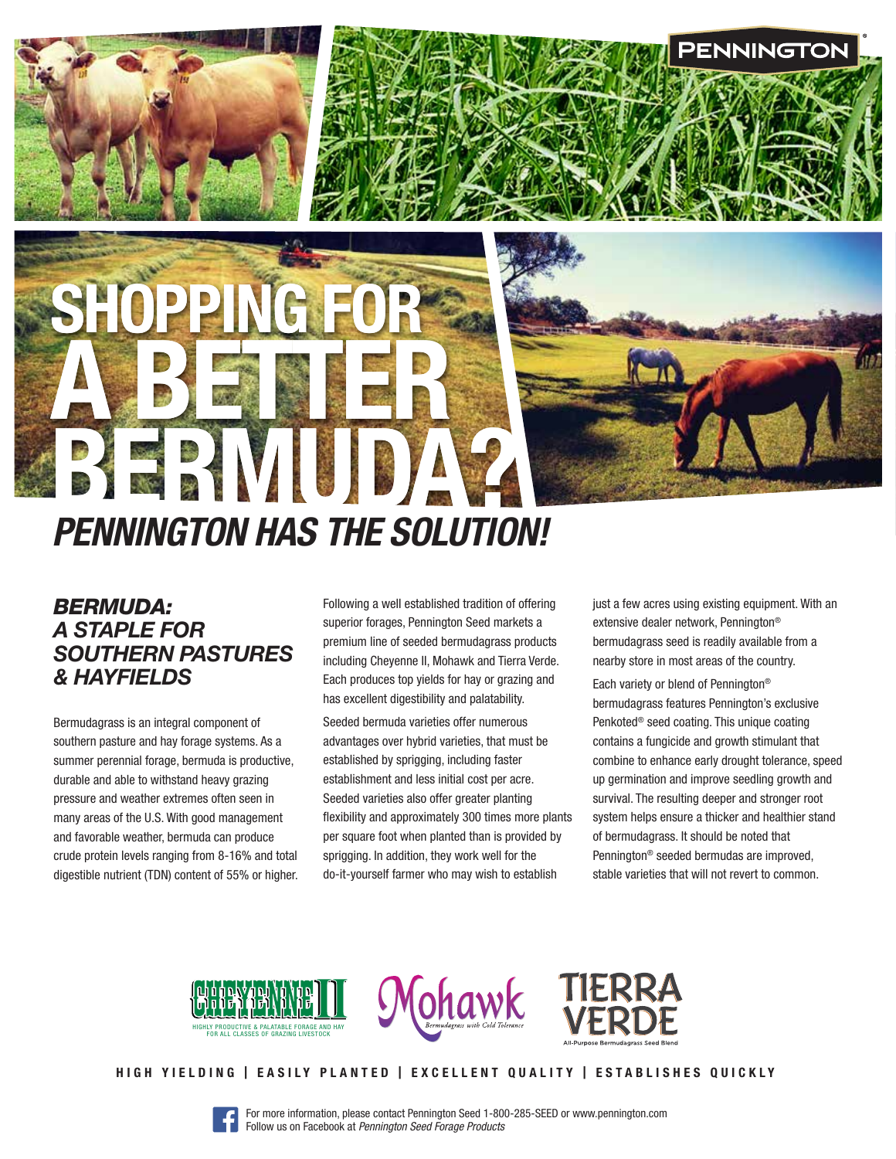# BERMUDA? *PENNINGTON HAS THE SOLUTION!*

SHOPPING FOR

A BETTER

# *BERMUDA: A STAPLE FOR SOUTHERN PASTURES & HAYFIELDS*

Bermudagrass is an integral component of southern pasture and hay forage systems. As a summer perennial forage, bermuda is productive, durable and able to withstand heavy grazing pressure and weather extremes often seen in many areas of the U.S. With good management and favorable weather, bermuda can produce crude protein levels ranging from 8-16% and total digestible nutrient (TDN) content of 55% or higher. Following a well established tradition of offering superior forages, Pennington Seed markets a premium line of seeded bermudagrass products including Cheyenne II, Mohawk and Tierra Verde. Each produces top yields for hay or grazing and has excellent digestibility and palatability.

Seeded bermuda varieties offer numerous advantages over hybrid varieties, that must be established by sprigging, including faster establishment and less initial cost per acre. Seeded varieties also offer greater planting flexibility and approximately 300 times more plants per square foot when planted than is provided by sprigging. In addition, they work well for the do-it-yourself farmer who may wish to establish

just a few acres using existing equipment. With an extensive dealer network, Pennington® bermudagrass seed is readily available from a nearby store in most areas of the country.

**PENNINGTOI** 

Each variety or blend of Pennington® bermudagrass features Pennington's exclusive Penkoted® seed coating. This unique coating contains a fungicide and growth stimulant that combine to enhance early drought tolerance, speed up germination and improve seedling growth and survival. The resulting deeper and stronger root system helps ensure a thicker and healthier stand of bermudagrass. It should be noted that Pennington® seeded bermudas are improved, stable varieties that will not revert to common.







#### HIGH YIELDING | EASILY PLANTED | EXCELLENT QUALITY | ESTABLISHES QUICKLY